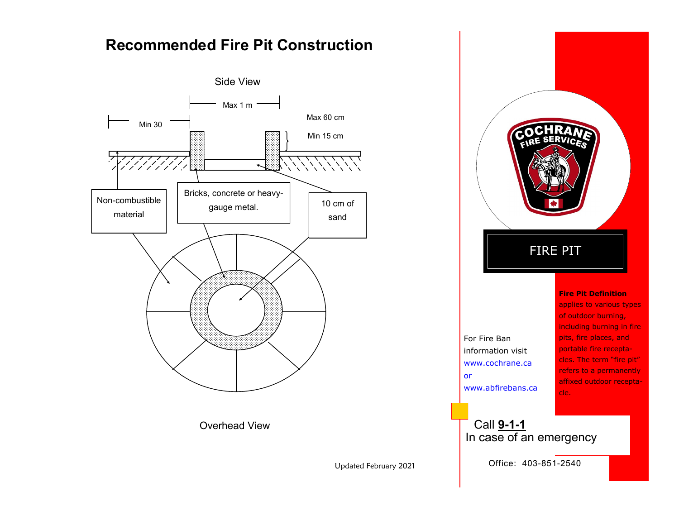# **Recommended Fire Pit Construction**





Updated February 2021